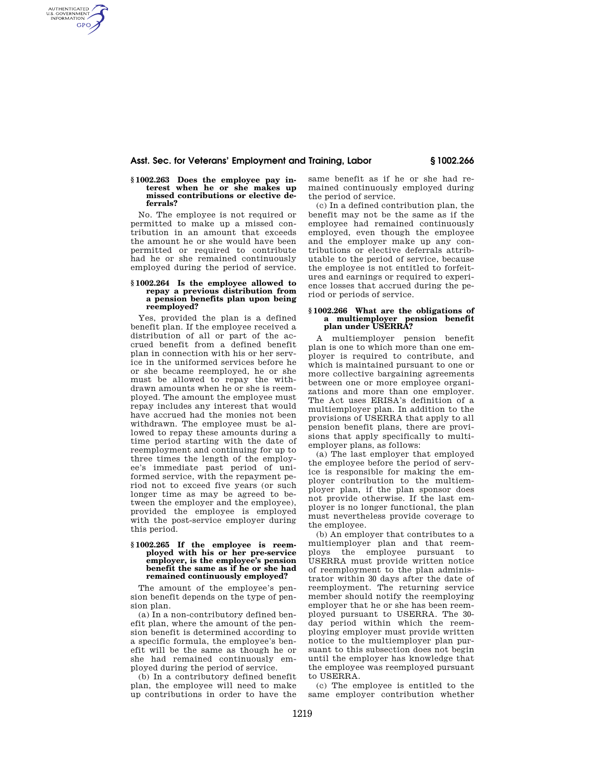## **Asst. Sec. for Veterans' Employment and Training, Labor § 1002.266**

# **§ 1002.263 Does the employee pay in-terest when he or she makes up missed contributions or elective deferrals?**

AUTHENTICATED<br>U.S. GOVERNMENT<br>INFORMATION **GPO** 

> No. The employee is not required or permitted to make up a missed contribution in an amount that exceeds the amount he or she would have been permitted or required to contribute had he or she remained continuously employed during the period of service.

### **§ 1002.264 Is the employee allowed to repay a previous distribution from a pension benefits plan upon being reemployed?**

Yes, provided the plan is a defined benefit plan. If the employee received a distribution of all or part of the accrued benefit from a defined benefit plan in connection with his or her service in the uniformed services before he or she became reemployed, he or she must be allowed to repay the withdrawn amounts when he or she is reemployed. The amount the employee must repay includes any interest that would have accrued had the monies not been withdrawn. The employee must be allowed to repay these amounts during a time period starting with the date of reemployment and continuing for up to three times the length of the employee's immediate past period of uniformed service, with the repayment period not to exceed five years (or such longer time as may be agreed to between the employer and the employee), provided the employee is employed with the post-service employer during this period.

### **§ 1002.265 If the employee is reemployed with his or her pre-service employer, is the employee's pension benefit the same as if he or she had remained continuously employed?**

The amount of the employee's pension benefit depends on the type of pension plan.

(a) In a non-contributory defined benefit plan, where the amount of the pension benefit is determined according to a specific formula, the employee's benefit will be the same as though he or she had remained continuously employed during the period of service.

(b) In a contributory defined benefit plan, the employee will need to make up contributions in order to have the same benefit as if he or she had remained continuously employed during the period of service.

(c) In a defined contribution plan, the benefit may not be the same as if the employee had remained continuously employed, even though the employee and the employer make up any contributions or elective deferrals attributable to the period of service, because the employee is not entitled to forfeitures and earnings or required to experience losses that accrued during the period or periods of service.

### **§ 1002.266 What are the obligations of a multiemployer pension benefit plan under USERRA?**

A multiemployer pension benefit plan is one to which more than one employer is required to contribute, and which is maintained pursuant to one or more collective bargaining agreements between one or more employee organizations and more than one employer. The Act uses ERISA's definition of a multiemployer plan. In addition to the provisions of USERRA that apply to all pension benefit plans, there are provisions that apply specifically to multiemployer plans, as follows:

(a) The last employer that employed the employee before the period of service is responsible for making the employer contribution to the multiemployer plan, if the plan sponsor does not provide otherwise. If the last employer is no longer functional, the plan must nevertheless provide coverage to the employee.

(b) An employer that contributes to a multiemployer plan and that reemploys the employee pursuant to USERRA must provide written notice of reemployment to the plan administrator within 30 days after the date of reemployment. The returning service member should notify the reemploying employer that he or she has been reemployed pursuant to USERRA. The 30 day period within which the reemploying employer must provide written notice to the multiemployer plan pursuant to this subsection does not begin until the employer has knowledge that the employee was reemployed pursuant to USERRA.

(c) The employee is entitled to the same employer contribution whether